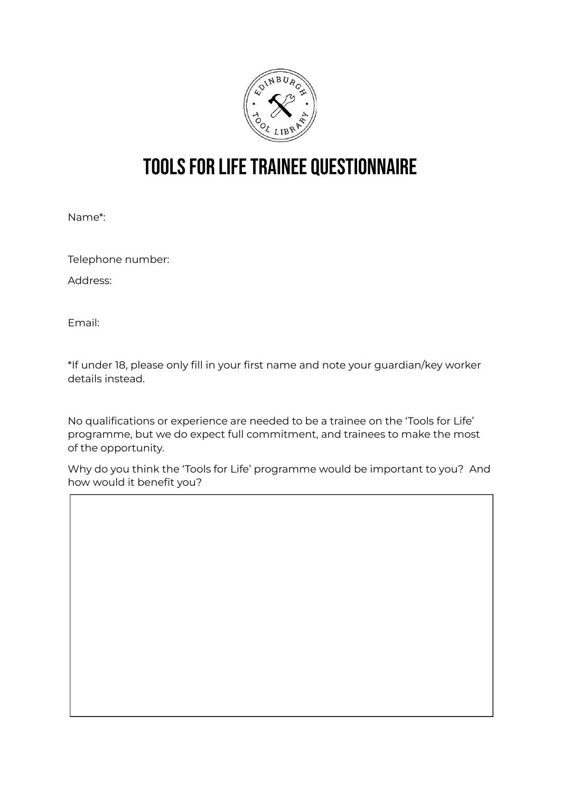

## TOOLS FOR LIFE TRAINEE QUESTIONNAIRE

Name\*:

Telephone number:

Address:

Email:

\*If under 18, please only fill in your first name and note your guardian/key worker details instead.

No qualifications or experience are needed to be a trainee on the 'Tools for Life' programme, but we do expect full commitment, and trainees to make the most of the opportunity.

Why do you think the 'Tools for Life' programme would be important to you? And how would it benefit you?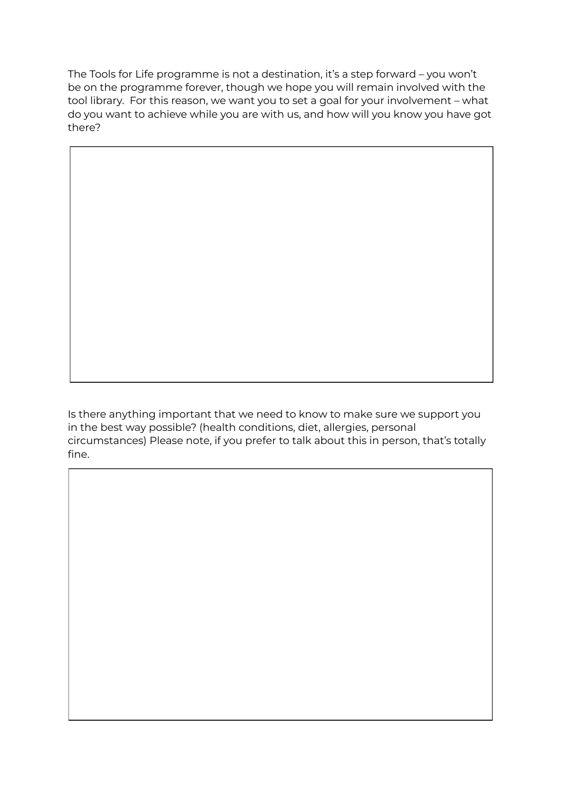The Tools for Life programme is not a destination, it's a step forward – you won't be on the programme forever, though we hope you will remain involved with the tool library. For this reason, we want you to set a goal for your involvement – what do you want to achieve while you are with us, and how will you know you have got there?

Is there anything important that we need to know to make sure we support you in the best way possible? (health conditions, diet, allergies, personal circumstances) Please note, if you prefer to talk about this in person, that's totally fine.